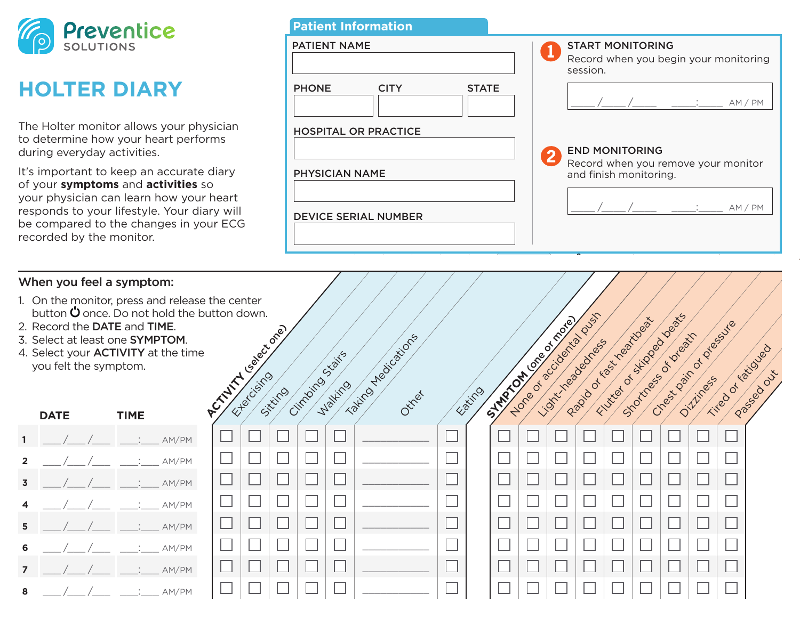

## **HOLTER DIARY**

The Holter monitor allows your physician to determine how your heart performs during everyday activities.

It's important to keep an accurate diary of your **symptoms** and **activities** so your physician can learn how your heart responds to your lifestyle. Your diary will be compared to the changes in your ECG recorded by the monitor.

## When you feel a symptom:

- 1. On the monitor, press and release the button  $\dot{\mathbf{U}}$  once. Do not hold the butt
- 2. Record the DATE and TIME.
- 3. Select at least one SYMPTOM.
- 4. Select your ACTIVITY at the time you felt the symptom.

|              | <b>DATE</b>                                                                                           | <b>TIME</b>                    |  |  |  |  |  |
|--------------|-------------------------------------------------------------------------------------------------------|--------------------------------|--|--|--|--|--|
|              |                                                                                                       |                                |  |  |  |  |  |
| $\mathbf{2}$ |                                                                                                       |                                |  |  |  |  |  |
| 3            |                                                                                                       |                                |  |  |  |  |  |
| 4            |                                                                                                       |                                |  |  |  |  |  |
| 5            |                                                                                                       |                                |  |  |  |  |  |
| 6            |                                                                                                       | ____/____/____ ____:____ AM/PM |  |  |  |  |  |
| 7            | $\frac{\Delta}{\Delta}$ / $\frac{\Delta}{\Delta}$ / $\frac{\Delta}{\Delta}$ / $\frac{\Delta}{\Delta}$ | : AM/PM                        |  |  |  |  |  |
| 8            |                                                                                                       |                                |  |  |  |  |  |

| <b>Patient Information</b>                  |                                                                              |
|---------------------------------------------|------------------------------------------------------------------------------|
| PATIENT NAME                                | <b>START MONITORING</b><br>Record when you begin your monitoring<br>session. |
| <b>PHONE</b><br><b>CITY</b><br><b>STATE</b> | AM/PM                                                                        |
| <b>HOSPITAL OR PRACTICE</b>                 |                                                                              |
|                                             | <b>END MONITORING</b>                                                        |
| <b>PHYSICIAN NAME</b>                       | Record when you remove your monitor<br>and finish monitoring.                |
| <b>DEVICE SERIAL NUMBER</b>                 | AM/PM                                                                        |

| When you feel a symptom:<br>On the monitor, press and release the center<br>button $\dot{\mathbf{U}}$ once. Do not hold the button down.<br>Futted of skipper beats<br>None of accidental push<br>STRATEGIES OF BOOM<br>Radio or Kast Yeal Magazi<br>Creek pair of pleasure<br>Record the DATE and TIME.<br>Accidental de de crier<br>Stockhess of value<br>Taking Medications<br>Select at least one SYMPTOM.<br>Light residences<br>Tired of Ratioleon<br>Select your <b>ACTIVITY</b> at the time<br>Stairs<br>you felt the symptom.<br>Passaged Oux<br>ETPECISITO<br>Diziness<br>Cimpoing<br>Walking<br>Sixing<br>Entiro<br>Ottret<br><b>TIME</b><br><b>DATE</b> |  |  |  |  |  |  |  |  |  |  |
|---------------------------------------------------------------------------------------------------------------------------------------------------------------------------------------------------------------------------------------------------------------------------------------------------------------------------------------------------------------------------------------------------------------------------------------------------------------------------------------------------------------------------------------------------------------------------------------------------------------------------------------------------------------------|--|--|--|--|--|--|--|--|--|--|
|                                                                                                                                                                                                                                                                                                                                                                                                                                                                                                                                                                                                                                                                     |  |  |  |  |  |  |  |  |  |  |
|                                                                                                                                                                                                                                                                                                                                                                                                                                                                                                                                                                                                                                                                     |  |  |  |  |  |  |  |  |  |  |
|                                                                                                                                                                                                                                                                                                                                                                                                                                                                                                                                                                                                                                                                     |  |  |  |  |  |  |  |  |  |  |
|                                                                                                                                                                                                                                                                                                                                                                                                                                                                                                                                                                                                                                                                     |  |  |  |  |  |  |  |  |  |  |
|                                                                                                                                                                                                                                                                                                                                                                                                                                                                                                                                                                                                                                                                     |  |  |  |  |  |  |  |  |  |  |
|                                                                                                                                                                                                                                                                                                                                                                                                                                                                                                                                                                                                                                                                     |  |  |  |  |  |  |  |  |  |  |
|                                                                                                                                                                                                                                                                                                                                                                                                                                                                                                                                                                                                                                                                     |  |  |  |  |  |  |  |  |  |  |
|                                                                                                                                                                                                                                                                                                                                                                                                                                                                                                                                                                                                                                                                     |  |  |  |  |  |  |  |  |  |  |
|                                                                                                                                                                                                                                                                                                                                                                                                                                                                                                                                                                                                                                                                     |  |  |  |  |  |  |  |  |  |  |